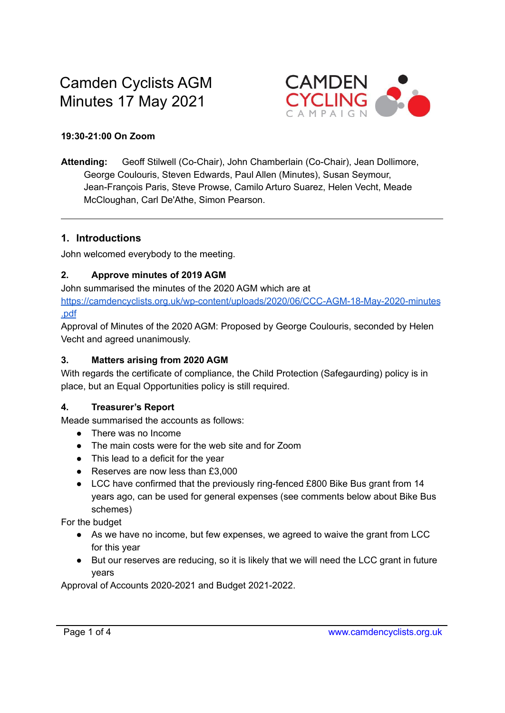# Camden Cyclists AGM Minutes 17 May 2021



#### **19:30-21:00 On Zoom**

**Attending:** Geoff Stilwell (Co-Chair), John Chamberlain (Co-Chair), Jean Dollimore, George Coulouris, Steven Edwards, Paul Allen (Minutes), Susan Seymour, Jean-François Paris, Steve Prowse, Camilo Arturo Suarez, Helen Vecht, Meade McCloughan, Carl De'Athe, Simon Pearson.

#### **1. Introductions**

John welcomed everybody to the meeting.

#### **2. Approve minutes of 2019 AGM**

John summarised the minutes of the 2020 AGM which are at [https://camdencyclists.org.uk/wp-content/uploads/2020/06/CCC-AGM-18-May-2020-minutes](https://camdencyclists.org.uk/wp-content/uploads/2020/06/CCC-AGM-18-May-2020-minutes.pdf) [.pdf](https://camdencyclists.org.uk/wp-content/uploads/2020/06/CCC-AGM-18-May-2020-minutes.pdf)

Approval of Minutes of the 2020 AGM: Proposed by George Coulouris, seconded by Helen Vecht and agreed unanimously.

#### **3. Matters arising from 2020 AGM**

With regards the certificate of compliance, the Child Protection (Safegaurding) policy is in place, but an Equal Opportunities policy is still required.

#### **4. Treasurer's Report**

Meade summarised the accounts as follows:

- There was no Income
- The main costs were for the web site and for Zoom
- This lead to a deficit for the year
- Reserves are now less than £3,000
- LCC have confirmed that the previously ring-fenced £800 Bike Bus grant from 14 years ago, can be used for general expenses (see comments below about Bike Bus schemes)

For the budget

- As we have no income, but few expenses, we agreed to waive the grant from LCC for this year
- But our reserves are reducing, so it is likely that we will need the LCC grant in future years

Approval of Accounts 2020-2021 and Budget 2021-2022.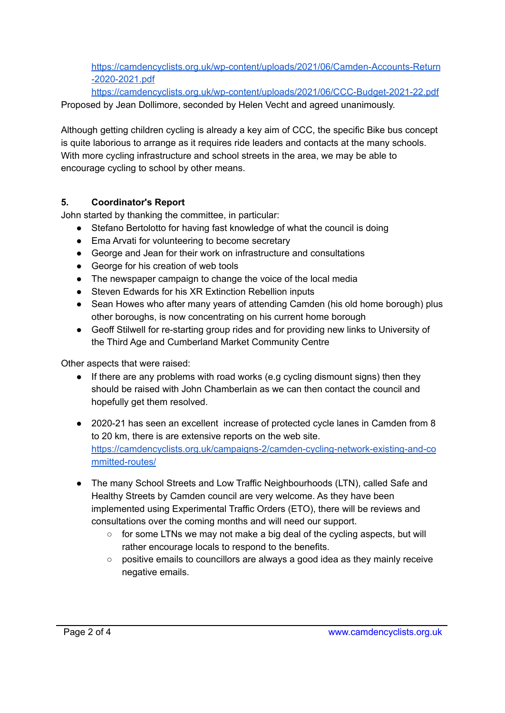[https://camdencyclists.org.uk/wp-content/uploads/2021/06/Camden-Accounts-Return](https://camdencyclists.org.uk/wp-content/uploads/2021/06/Camden-Accounts-Return-2020-2021.pdf) [-2020-2021.pdf](https://camdencyclists.org.uk/wp-content/uploads/2021/06/Camden-Accounts-Return-2020-2021.pdf)

<https://camdencyclists.org.uk/wp-content/uploads/2021/06/CCC-Budget-2021-22.pdf> Proposed by Jean Dollimore, seconded by Helen Vecht and agreed unanimously.

Although getting children cycling is already a key aim of CCC, the specific Bike bus concept is quite laborious to arrange as it requires ride leaders and contacts at the many schools. With more cycling infrastructure and school streets in the area, we may be able to encourage cycling to school by other means.

# **5. Coordinator's Report**

John started by thanking the committee, in particular:

- Stefano Bertolotto for having fast knowledge of what the council is doing
- Ema Arvati for volunteering to become secretary
- George and Jean for their work on infrastructure and consultations
- George for his creation of web tools
- The newspaper campaign to change the voice of the local media
- Steven Edwards for his XR Extinction Rebellion inputs
- Sean Howes who after many years of attending Camden (his old home borough) plus other boroughs, is now concentrating on his current home borough
- Geoff Stilwell for re-starting group rides and for providing new links to University of the Third Age and Cumberland Market Community Centre

Other aspects that were raised:

- If there are any problems with road works (e.g cycling dismount signs) then they should be raised with John Chamberlain as we can then contact the council and hopefully get them resolved.
- 2020-21 has seen an excellent increase of protected cycle lanes in Camden from 8 to 20 km, there is are extensive reports on the web site. [https://camdencyclists.org.uk/campaigns-2/camden-cycling-network-existing-and-co](https://camdencyclists.org.uk/campaigns-2/camden-cycling-network-existing-and-committed-routes/) [mmitted-routes/](https://camdencyclists.org.uk/campaigns-2/camden-cycling-network-existing-and-committed-routes/)
- The many School Streets and Low Traffic Neighbourhoods (LTN), called Safe and Healthy Streets by Camden council are very welcome. As they have been implemented using Experimental Traffic Orders (ETO), there will be reviews and consultations over the coming months and will need our support.
	- for some LTNs we may not make a big deal of the cycling aspects, but will rather encourage locals to respond to the benefits.
	- positive emails to councillors are always a good idea as they mainly receive negative emails.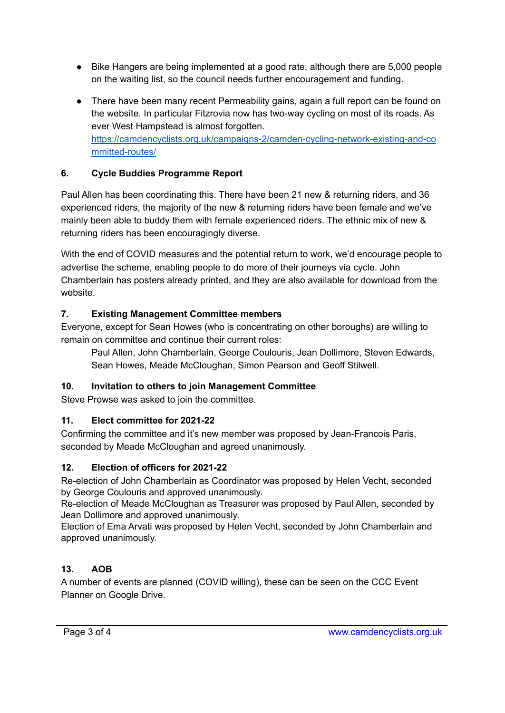- Bike Hangers are being implemented at a good rate, although there are 5,000 people on the waiting list, so the council needs further encouragement and funding.
- There have been many recent Permeability gains, again a full report can be found on the website. In particular Fitzrovia now has two-way cycling on most of its roads. As ever West Hampstead is almost forgotten. [https://camdencyclists.org.uk/campaigns-2/camden-cycling-network-existing-and-co](https://camdencyclists.org.uk/campaigns-2/camden-cycling-network-existing-and-committed-routes/) [mmitted-routes/](https://camdencyclists.org.uk/campaigns-2/camden-cycling-network-existing-and-committed-routes/)

# **6. Cycle Buddies Programme Report**

Paul Allen has been coordinating this. There have been 21 new & returning riders, and 36 experienced riders, the majority of the new & returning riders have been female and we've mainly been able to buddy them with female experienced riders. The ethnic mix of new & returning riders has been encouragingly diverse.

With the end of COVID measures and the potential return to work, we'd encourage people to advertise the scheme, enabling people to do more of their journeys via cycle. John Chamberlain has posters already printed, and they are also available for download from the website.

#### **7. Existing Management Committee members**

Everyone, except for Sean Howes (who is concentrating on other boroughs) are willing to remain on committee and continue their current roles:

Paul Allen, John Chamberlain, George Coulouris, Jean Dollimore, Steven Edwards, Sean Howes, Meade McCloughan, Simon Pearson and Geoff Stilwell.

#### **10. Invitation to others to join Management Committee**

Steve Prowse was asked to join the committee.

#### **11. Elect committee for 2021-22**

Confirming the committee and it's new member was proposed by Jean-Francois Paris, seconded by Meade McCloughan and agreed unanimously.

#### **12. Election of officers for 2021-22**

Re-election of John Chamberlain as Coordinator was proposed by Helen Vecht, seconded by George Coulouris and approved unanimously.

Re-election of Meade McCloughan as Treasurer was proposed by Paul Allen, seconded by Jean Dollimore and approved unanimously.

Election of Ema Arvati was proposed by Helen Vecht, seconded by John Chamberlain and approved unanimously.

# **13. AOB**

A number of events are planned (COVID willing), these can be seen on the CCC Event Planner on Google Drive.